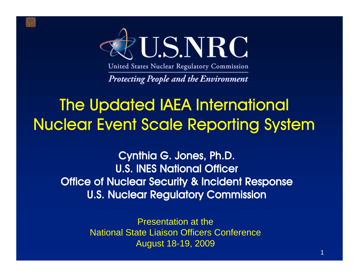

United States Nuclear Regulatory Commission

**Protecting People and the Environment** 

# The Updated IAEA International Nuclear Event Scale Reporting System

Cynthia G. Jones, Ph.D. **U.S. INES National Officer** Office of Nuclear Security & Incident Response U.S. Nuclear Regulatory Commission

> Presentation at the National State Liaison Officers Conference August 18-19, 2009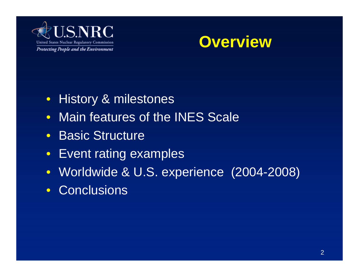



- History & milestones
- Main features of the INES Scale
- Basic Structure
- Event rating examples
- Worldwide & U.S. experience (2004-2008)
- Conclusions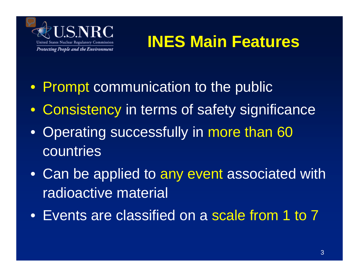

# **INES Main Features**

- Prompt communication to the public
- Consistency in terms of safety significance
- Operating successfully in more than 60 countries
- Can be applied to any event associated with radioactive material
- Events are classified on a scale from 1 to 7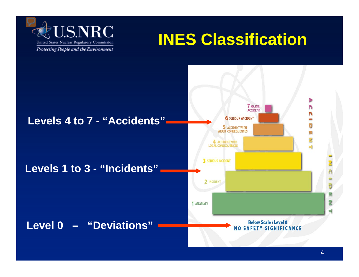

# **INES Classification**

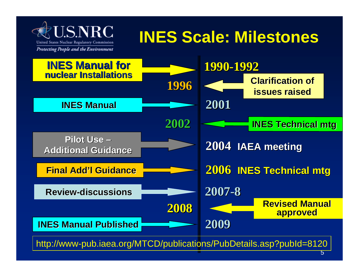

# **INES Scale: Milestones**

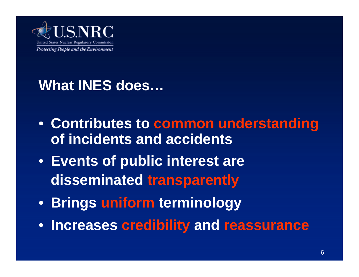

### **What INES does…**

- **Contributes to common understanding of incidents and accidents**
- **Events of public interest are disseminated transparently**
- **Brings uniform terminology**
- **Increases credibility and reassurance**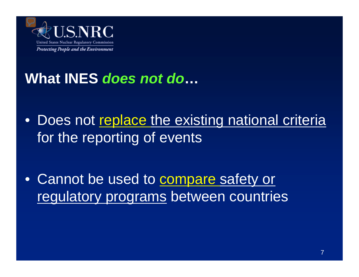

### **What INES** *does not do***…**

• Does not replace the existing national criteria for the reporting of events

• Cannot be used to compare safety or regulatory programs between countries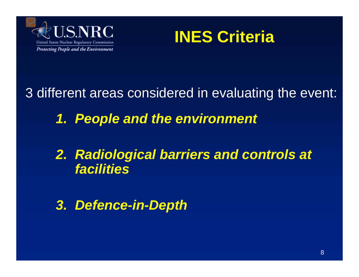



3 different areas considered in evaluating the event:

*1. People and the environment*

*2. Radiological barriers and controls at facilities*

*3. Defence-in-Depth*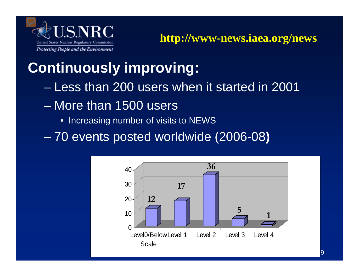

#### **Continuously improving:**

- Less than 200 users when it started in 2001
- More than 1500 users
	- Increasing number of visits to NEWS
- 70 events posted worldwide (2006-08 **)**

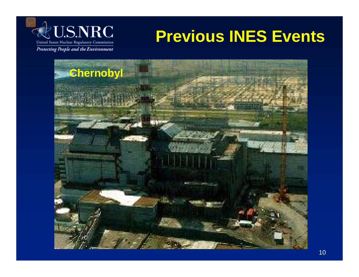

# **Previous INES Events**

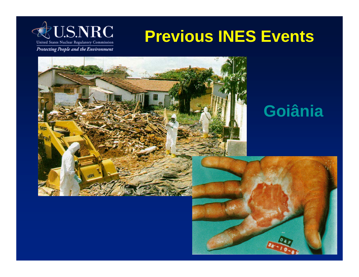

# **Previous INES Events**



## **Goiânia**

11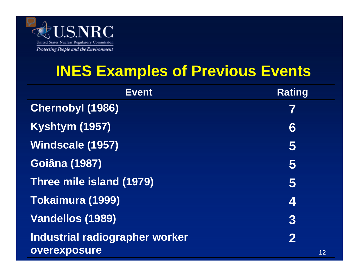

### **INES Examples of Previous Events**

| <b>Event</b>                   | <b>Rating</b> |
|--------------------------------|---------------|
| <b>Chernobyl (1986)</b>        | 7             |
| <b>Kyshtym (1957)</b>          | 6             |
| Windscale (1957)               | 5             |
| <b>Goiâna (1987)</b>           | 5             |
| Three mile island (1979)       | 5             |
| Tokaimura (1999)               | 4             |
| Vandellos (1989)               | 3             |
| Industrial radiographer worker | $\bf{2}$      |
| overexposure                   | 12            |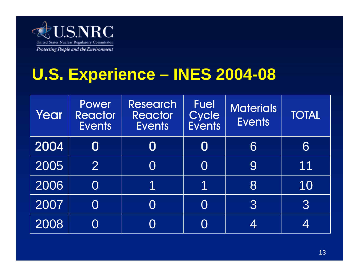

# **U.S. Experience – INES 2004-08**

| Year | Power<br><b>Reactor</b><br><b>Events</b> | <b>Research</b><br><b>Reactor</b><br><b>Events</b> | <b>Fuel</b><br>Cycle<br><b>Events</b> | <b>Materials</b><br><b>Events</b> | <b>TOTAL</b> |
|------|------------------------------------------|----------------------------------------------------|---------------------------------------|-----------------------------------|--------------|
| 2004 | 0                                        | $\bm{\mathsf{O}}$                                  | $\bm{\mathsf{O}}$                     | 6                                 | 6            |
| 2005 | $\overline{2}$                           | O                                                  |                                       | 9                                 | 11           |
| 2006 | $\rm O$                                  | 1                                                  | 1                                     | 8                                 | 10           |
| 2007 | $\rm O$                                  | O                                                  | $\bigcap$                             | $3\overline{3}$                   | 3            |
| 2008 |                                          |                                                    |                                       | 4                                 | 4            |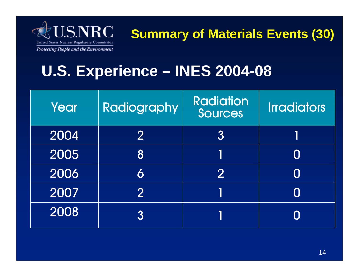

**Summary of Materials Events (30)**

### **U.S. Experience – INES 2004-08**

| Year | Radiography   | <b>Radiation</b><br>Sources | <b>Irradiators</b> |
|------|---------------|-----------------------------|--------------------|
| 2004 | $\bf{2}$      | $\overline{3}$              |                    |
| 2005 | 8             |                             |                    |
| 2006 | 6             | 2                           |                    |
| 2007 | $\mathcal{P}$ |                             |                    |
| 2008 | 3             |                             |                    |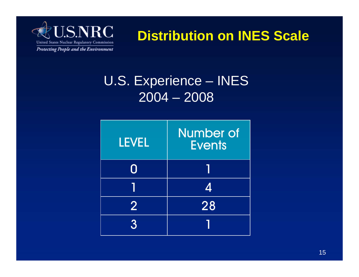

**Distribution on INES Scale**

#### U.S. Experience – INES 2004 – 2008

| <b>LEVEL</b>   | <b>Number of</b><br><b>Events</b> |
|----------------|-----------------------------------|
| 0              |                                   |
|                | 4                                 |
| $\overline{2}$ | 28                                |
| $\mathbf{R}$   |                                   |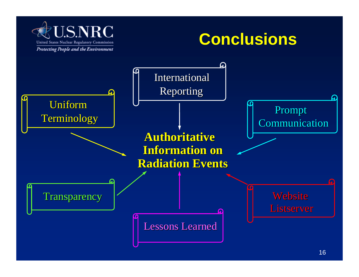

## **Conclusions**